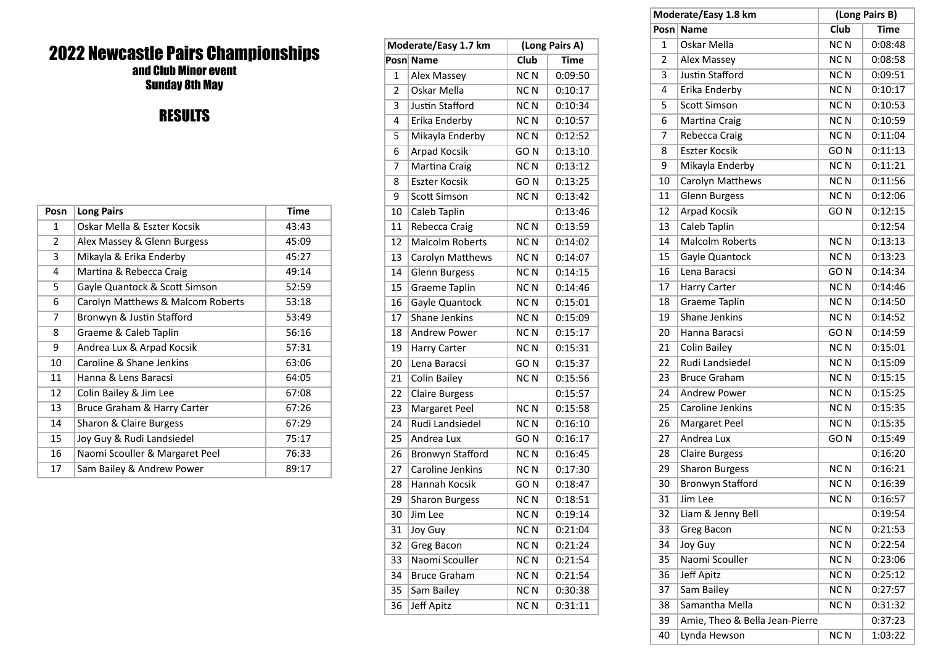## 2022 Newcastle Pairs Championships and Club Minor event

Sunday 8th May

## RESULTS

| Posn           | <b>Long Pairs</b>                 | <b>Time</b> |
|----------------|-----------------------------------|-------------|
| 1              | Oskar Mella & Eszter Kocsik       | 43:43       |
| $\overline{2}$ | Alex Massey & Glenn Burgess       | 45:09       |
| 3              | Mikayla & Erika Enderby           | 45:27       |
| 4              | Martina & Rebecca Craig           | 49:14       |
| 5              | Gayle Quantock & Scott Simson     | 52:59       |
| 6              | Carolyn Matthews & Malcom Roberts | 53:18       |
| 7              | Bronwyn & Justin Stafford         | 53:49       |
| 8              | Graeme & Caleb Taplin             | 56:16       |
| 9              | Andrea Lux & Arpad Kocsik         | 57:31       |
| 10             | Caroline & Shane Jenkins          | 63:06       |
| 11             | Hanna & Lens Baracsi              | 64:05       |
| 12             | Colin Bailey & Jim Lee            | 67:08       |
| 13             | Bruce Graham & Harry Carter       | 67:26       |
| 14             | Sharon & Claire Burgess           | 67:29       |
| 15             | Joy Guy & Rudi Landsiedel         | 75:17       |
| 16             | Naomi Scouller & Margaret Peel    | 76:33       |
| 17             | Sam Bailey & Andrew Power         | 89:17       |

| Moderate/Easy 1.7 km |                         | (Long Pairs A)           |             |  |
|----------------------|-------------------------|--------------------------|-------------|--|
|                      | Posn Name               | $\overline{\text{Club}}$ | <b>Time</b> |  |
| 1                    | Alex Massey             | NCN                      | 0:09:50     |  |
| $\overline{2}$       | Oskar Mella             | <b>NCN</b>               | 0:10:17     |  |
| 3                    | <b>Justin Stafford</b>  | NCN                      | 0:10:34     |  |
| 4                    | Erika Enderby           | <b>NCN</b>               | 0:10:57     |  |
| 5                    | Mikayla Enderby         | NC <sub>N</sub>          | 0:12:52     |  |
| 6                    | Arpad Kocsik            | GO <sub>N</sub>          | 0:13:10     |  |
| 7                    | Martina Craig           | NCN                      | 0:13:12     |  |
| 8                    | <b>Eszter Kocsik</b>    | GO <sub>N</sub>          | 0:13:25     |  |
| 9                    | <b>Scott Simson</b>     | NC <sub>N</sub>          | 0:13:42     |  |
| 10                   | Caleb Taplin            |                          | 0:13:46     |  |
| 11                   | Rebecca Craig           | NC <sub>N</sub>          | 0:13:59     |  |
| 12                   | <b>Malcolm Roberts</b>  | NC <sub>N</sub>          | 0:14:02     |  |
| 13                   | Carolyn Matthews        | NCN                      | 0:14:07     |  |
| 14                   | <b>Glenn Burgess</b>    | NCN                      | 0:14:15     |  |
| 15                   | Graeme Taplin           | NC <sub>N</sub>          | 0:14:46     |  |
| 16                   | Gayle Quantock          | <b>NCN</b>               | 0:15:01     |  |
| 17                   | Shane Jenkins           | NCN                      | 0:15:09     |  |
| 18                   | <b>Andrew Power</b>     | NCN                      | 0:15:17     |  |
| 19                   | <b>Harry Carter</b>     | <b>NCN</b>               | 0:15:31     |  |
| 20                   | Lena Baracsi            | GO <sub>N</sub>          | 0:15:37     |  |
| 21                   | <b>Colin Bailey</b>     | NC <sub>N</sub>          | 0:15:56     |  |
| 22                   | <b>Claire Burgess</b>   |                          | 0:15:57     |  |
| 23                   | Margaret Peel           | <b>NCN</b>               | 0:15:58     |  |
| 24                   | Rudi Landsiedel         | <b>NCN</b>               | 0:16:10     |  |
| 25                   | Andrea Lux              | GO <sub>N</sub>          | 0:16:17     |  |
| 26                   | <b>Bronwyn Stafford</b> | <b>NCN</b>               | 0:16:45     |  |
| 27                   | <b>Caroline Jenkins</b> | NCN                      | 0:17:30     |  |
| 28                   | Hannah Kocsik           | GO <sub>N</sub>          | 0:18:47     |  |
| 29                   | <b>Sharon Burgess</b>   | NC <sub>N</sub>          | 0:18:51     |  |
| 30                   | lim Lee                 | <b>NCN</b>               | 0:19:14     |  |
| 31                   | <b>Joy Guy</b>          | NC N                     | 0:21:04     |  |
| 32                   | Greg Bacon              | NC <sub>N</sub>          | 0:21:24     |  |
| 33                   | Naomi Scouller          | <b>NCN</b>               | 0:21:54     |  |
| 34                   | <b>Bruce Graham</b>     | NCN                      | 0:21:54     |  |
| 35                   | Sam Bailey              | NC <sub>N</sub>          | 0:30:38     |  |
| 36                   | <b>Jeff Apitz</b>       | NC <sub>N</sub>          | 0:31:11     |  |

|                | Moderate/Easy 1.8 km           | (Long Pairs B)  |             |
|----------------|--------------------------------|-----------------|-------------|
|                | Posn Name                      | Club            | <b>Time</b> |
| 1              | Oskar Mella                    | NCN             | 0:08:48     |
| $\overline{2}$ | <b>Alex Massey</b>             | NC <sub>N</sub> | 0:08:58     |
| 3              | <b>Justin Stafford</b>         | NC <sub>N</sub> | 0:09:51     |
| 4              | Erika Enderby                  | NCN             | 0:10:17     |
| 5              | <b>Scott Simson</b>            | <b>NCN</b>      | 0:10:53     |
| 6              | Martina Craig                  | NC <sub>N</sub> | 0:10:59     |
| 7              | Rebecca Craig                  | <b>NCN</b>      | 0:11:04     |
| 8              | <b>Eszter Kocsik</b>           | GO <sub>N</sub> | 0:11:13     |
| 9              | Mikayla Enderby                | <b>NCN</b>      | 0:11:21     |
| 10             | Carolyn Matthews               | <b>NCN</b>      | 0:11:56     |
| 11             | <b>Glenn Burgess</b>           | <b>NCN</b>      | 0:12:06     |
| 12             | Arpad Kocsik                   | GO <sub>N</sub> | 0:12:15     |
| 13             | Caleb Taplin                   |                 | 0:12:54     |
| 14             | <b>Malcolm Roberts</b>         | NCN             | 0:13:13     |
| 15             | Gayle Quantock                 | <b>NCN</b>      | 0:13:23     |
| 16             | Lena Baracsi                   | GO <sub>N</sub> | 0:14:34     |
| 17             | <b>Harry Carter</b>            | NC <sub>N</sub> | 0:14:46     |
| 18             | Graeme Taplin                  | <b>NCN</b>      | 0:14:50     |
| 19             | Shane Jenkins                  | <b>NCN</b>      | 0:14:52     |
| 20             | Hanna Baracsi                  | GO <sub>N</sub> | 0:14:59     |
| 21             | <b>Colin Bailey</b>            | NC <sub>N</sub> | 0:15:01     |
| 22             | Rudi Landsiedel                | NC <sub>N</sub> | 0:15:09     |
| 23             | <b>Bruce Graham</b>            | NC <sub>N</sub> | 0:15:15     |
| 24             | <b>Andrew Power</b>            | <b>NCN</b>      | 0:15:25     |
| 25             | Caroline Jenkins               | <b>NCN</b>      | 0:15:35     |
| 26             | Margaret Peel                  | NC <sub>N</sub> | 0:15:35     |
| 27             | Andrea Lux                     | GO <sub>N</sub> | 0:15:49     |
| 28             | <b>Claire Burgess</b>          |                 | 0:16:20     |
| 29             | <b>Sharon Burgess</b>          | <b>NCN</b>      | 0:16:21     |
| 30             | <b>Bronwyn Stafford</b>        | NC <sub>N</sub> | 0:16:39     |
| 31             | Jim Lee                        | NC <sub>N</sub> | 0:16:57     |
| 32             | Liam & Jenny Bell              |                 | 0:19:54     |
| 33             | Greg Bacon                     | NCN             | 0:21:53     |
| 34             | Joy Guy                        | <b>NCN</b>      | 0:22:54     |
| 35             | Naomi Scouller                 | <b>NCN</b>      | 0:23:06     |
| 36             | <b>Jeff Apitz</b>              | NC <sub>N</sub> | 0:25:12     |
| 37             | Sam Bailey                     | NC <sub>N</sub> | 0:27:57     |
| 38             | Samantha Mella                 | NC <sub>N</sub> | 0:31:32     |
| 39             | Amie, Theo & Bella Jean-Pierre |                 | 0:37:23     |
| 40             | Lynda Hewson                   | NC <sub>N</sub> | 1:03:22     |